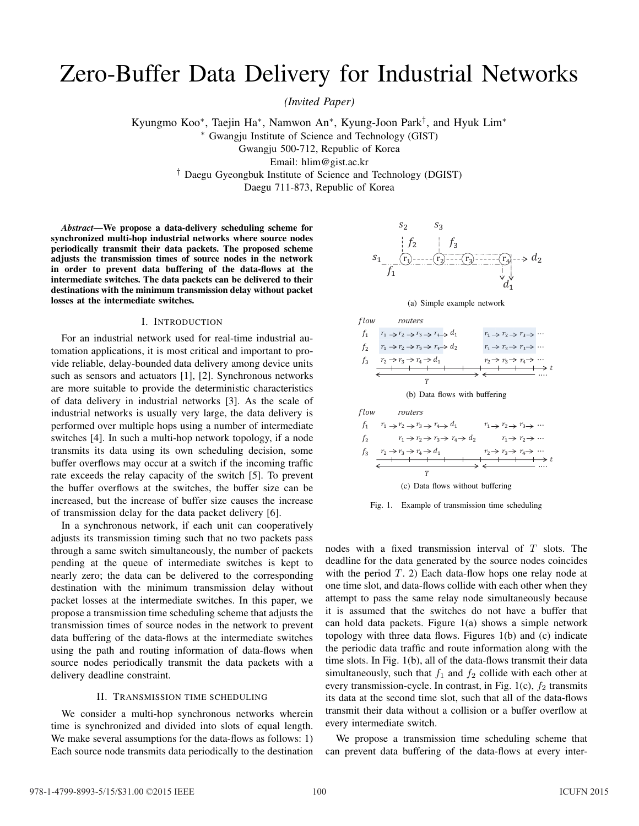# Zero-Buffer Data Delivery for Industrial Networks

*(Invited Paper)*

Kyungmo Koo∗, Taejin Ha∗, Namwon An∗, Kyung-Joon Park†, and Hyuk Lim<sup>∗</sup> <sup>∗</sup> Gwangju Institute of Science and Technology (GIST) Gwangju 500-712, Republic of Korea

Email: hlim@gist.ac.kr

† Daegu Gyeongbuk Institute of Science and Technology (DGIST) Daegu 711-873, Republic of Korea

*Abstract***—We propose a data-delivery scheduling scheme for synchronized multi-hop industrial networks where source nodes periodically transmit their data packets. The proposed scheme adjusts the transmission times of source nodes in the network in order to prevent data buffering of the data-flows at the intermediate switches. The data packets can be delivered to their destinations with the minimum transmission delay without packet losses at the intermediate switches.**

## I. INTRODUCTION

For an industrial network used for real-time industrial automation applications, it is most critical and important to provide reliable, delay-bounded data delivery among device units such as sensors and actuators [1], [2]. Synchronous networks are more suitable to provide the deterministic characteristics of data delivery in industrial networks [3]. As the scale of industrial networks is usually very large, the data delivery is performed over multiple hops using a number of intermediate switches [4]. In such a multi-hop network topology, if a node transmits its data using its own scheduling decision, some buffer overflows may occur at a switch if the incoming traffic rate exceeds the relay capacity of the switch [5]. To prevent the buffer overflows at the switches, the buffer size can be increased, but the increase of buffer size causes the increase of transmission delay for the data packet delivery [6].

In a synchronous network, if each unit can cooperatively adjusts its transmission timing such that no two packets pass through a same switch simultaneously, the number of packets pending at the queue of intermediate switches is kept to nearly zero; the data can be delivered to the corresponding destination with the minimum transmission delay without packet losses at the intermediate switches. In this paper, we propose a transmission time scheduling scheme that adjusts the transmission times of source nodes in the network to prevent data buffering of the data-flows at the intermediate switches using the path and routing information of data-flows when source nodes periodically transmit the data packets with a delivery deadline constraint.

## II. TRANSMISSION TIME SCHEDULING

We consider a multi-hop synchronous networks wherein time is synchronized and divided into slots of equal length. We make several assumptions for the data-flows as follows: 1) Each source node transmits data periodically to the destination



(a) Simple example network



(b) Data flows with buffering

\n
$$
f_1 \quad r_1 \rightarrow r_2 \rightarrow r_3 \rightarrow r_4 \rightarrow d_1 \quad r_1 \rightarrow r_2 \rightarrow r_3 \rightarrow \cdots
$$
\n

\n\n
$$
f_2 \quad r_1 \rightarrow r_2 \rightarrow r_3 \rightarrow r_4 \rightarrow d_2 \quad r_1 \rightarrow r_2 \rightarrow \cdots
$$
\n

\n\n
$$
f_3 \quad r_2 \rightarrow r_3 \rightarrow r_4 \rightarrow d_1 \quad r_2 \rightarrow r_3 \rightarrow r_4 \rightarrow \cdots
$$
\n

\n\n
$$
T \quad \text{(c) Data flows without buffering}\n
$$
\n



nodes with a fixed transmission interval of T slots. The deadline for the data generated by the source nodes coincides with the period  $T$ . 2) Each data-flow hops one relay node at one time slot, and data-flows collide with each other when they attempt to pass the same relay node simultaneously because it is assumed that the switches do not have a buffer that can hold data packets. Figure 1(a) shows a simple network topology with three data flows. Figures 1(b) and (c) indicate the periodic data traffic and route information along with the time slots. In Fig. 1(b), all of the data-flows transmit their data simultaneously, such that  $f_1$  and  $f_2$  collide with each other at every transmission-cycle. In contrast, in Fig. 1(c),  $f_2$  transmits its data at the second time slot, such that all of the data-flows transmit their data without a collision or a buffer overflow at every intermediate switch.

We propose a transmission time scheduling scheme that can prevent data buffering of the data-flows at every inter-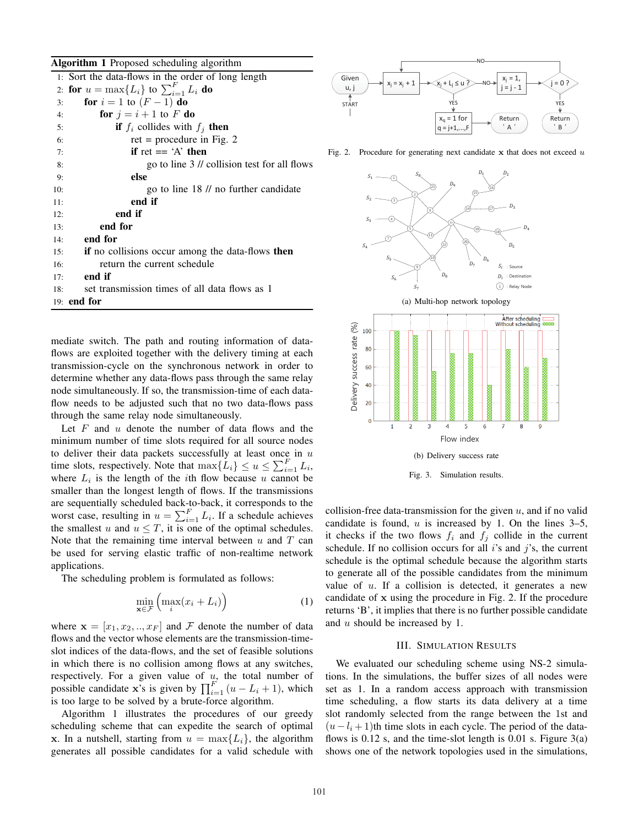#### **Algorithm 1** Proposed scheduling algorithm

|     | 1: Sort the data-flows in the order of long length |
|-----|----------------------------------------------------|
|     | 2: for $u = \max\{L_i\}$ to $\sum_{i=1}^F L_i$ do  |
| 3:  | for $i = 1$ to $(F - 1)$ do                        |
| 4:  | for $j = i + 1$ to F do                            |
| 5:  | <b>if</b> $f_i$ collides with $f_j$ then           |
| 6:  | ret = procedure in Fig. 2                          |
| 7:  | if ret $== 'A'$ then                               |
| 8:  | go to line 3 // collision test for all flows       |
| 9:  | else                                               |
| 10: | go to line 18 // no further candidate              |
| 11: | end if                                             |
| 12: | end if                                             |
| 13: | end for                                            |
| 14: | end for                                            |
| 15: | if no collisions occur among the data-flows then   |
| 16: | return the current schedule                        |
| 17: | end if                                             |
| 18: | set transmission times of all data flows as 1      |
|     | 19: end for                                        |

mediate switch. The path and routing information of dataflows are exploited together with the delivery timing at each transmission-cycle on the synchronous network in order to determine whether any data-flows pass through the same relay node simultaneously. If so, the transmission-time of each dataflow needs to be adjusted such that no two data-flows pass through the same relay node simultaneously.

Let  $F$  and  $u$  denote the number of data flows and the minimum number of time slots required for all source nodes to deliver their data packets successfully at least once in  $u$ time slots, respectively. Note that  $\max\{L_i\} \leq u \leq \sum_{i=1}^{F} L_i$ , where  $L_i$  is the length of the *i*th flow because u cannot be smaller than the longest length of flows. If the transmissions are sequentially scheduled back-to-back, it corresponds to the worst case, resulting in  $u = \sum_{i=1}^{F} L_i$ . If a schedule achieves the smallest u and  $u \leq T$ , it is one of the optimal schedules. Note that the remaining time interval between  $u$  and  $T$  can be used for serving elastic traffic of non-realtime network applications.

The scheduling problem is formulated as follows:

$$
\min_{\mathbf{x} \in \mathcal{F}} \left( \max_{i} (x_i + L_i) \right) \tag{1}
$$

where  $\mathbf{x} = [x_1, x_2, \dots, x_F]$  and F denote the number of data flows and the vector whose elements are the transmission-timeslot indices of the data-flows, and the set of feasible solutions in which there is no collision among flows at any switches, respectively. For a given value of  $u$ , the total number of possible candidate x's is given by  $\prod_{i=1}^{F} (u - L_i + 1)$ , which is too large to be solved by a brute-force algorithm.

Algorithm 1 illustrates the procedures of our greedy scheduling scheme that can expedite the search of optimal x. In a nutshell, starting from  $u = \max\{L_i\}$ , the algorithm generates all possible candidates for a valid schedule with



Fig. 2. Procedure for generating next candidate  $x$  that does not exceed  $u$ 





collision-free data-transmission for the given  $u$ , and if no valid candidate is found,  $u$  is increased by 1. On the lines 3–5, it checks if the two flows  $f_i$  and  $f_j$  collide in the current schedule. If no collision occurs for all  $i$ 's and  $j$ 's, the current schedule is the optimal schedule because the algorithm starts to generate all of the possible candidates from the minimum value of  $u$ . If a collision is detected, it generates a new candidate of x using the procedure in Fig. 2. If the procedure returns 'B', it implies that there is no further possible candidate and u should be increased by 1.

#### III. SIMULATION RESULTS

We evaluated our scheduling scheme using NS-2 simulations. In the simulations, the buffer sizes of all nodes were set as 1. In a random access approach with transmission time scheduling, a flow starts its data delivery at a time slot randomly selected from the range between the 1st and  $(u-l<sub>i</sub>+1)$ th time slots in each cycle. The period of the dataflows is  $0.12$  s, and the time-slot length is  $0.01$  s. Figure  $3(a)$ shows one of the network topologies used in the simulations,